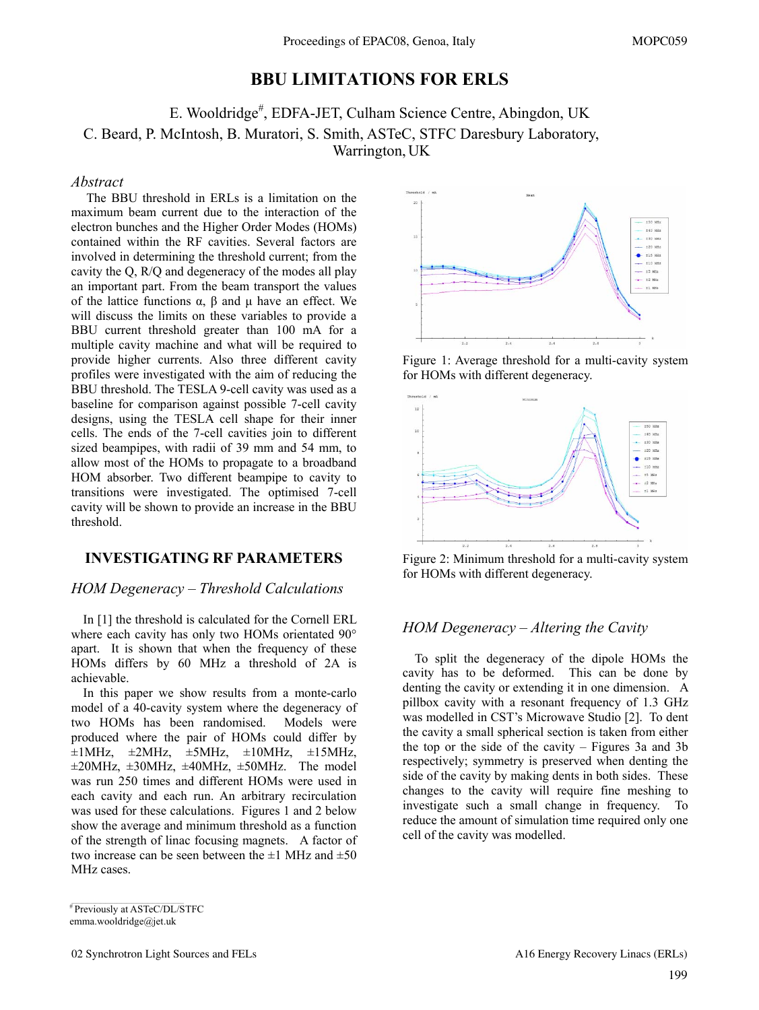## **BBU LIMITATIONS FOR ERLS**

# E. Wooldridge<sup>#</sup>, EDFA-JET, Culham Science Centre, Abingdon, UK C. Beard, P. McIntosh, B. Muratori, S. Smith, ASTeC, STFC Daresbury Laboratory, Warrington, UK

#### *Abstract*

 The BBU threshold in ERLs is a limitation on the maximum beam current due to the interaction of the electron bunches and the Higher Order Modes (HOMs) contained within the RF cavities. Several factors are involved in determining the threshold current; from the cavity the Q, R/Q and degeneracy of the modes all play an important part. From the beam transport the values of the lattice functions α, β and μ have an effect. We will discuss the limits on these variables to provide a BBU current threshold greater than 100 mA for a multiple cavity machine and what will be required to provide higher currents. Also three different cavity profiles were investigated with the aim of reducing the BBU threshold. The TESLA 9-cell cavity was used as a baseline for comparison against possible 7-cell cavity designs, using the TESLA cell shape for their inner cells. The ends of the 7-cell cavities join to different sized beampipes, with radii of 39 mm and 54 mm, to allow most of the HOMs to propagate to a broadband HOM absorber. Two different beampipe to cavity to transitions were investigated. The optimised 7-cell cavity will be shown to provide an increase in the BBU threshold.

## **INVESTIGATING RF PARAMETERS**

### *HOM Degeneracy – Threshold Calculations*

In [1] the threshold is calculated for the Cornell ERL where each cavity has only two HOMs orientated 90° apart. It is shown that when the frequency of these HOMs differs by 60 MHz a threshold of 2A is achievable.

In this paper we show results from a monte-carlo model of a 40-cavity system where the degeneracy of two HOMs has been randomised. Models were produced where the pair of HOMs could differ by  $\pm 1$ MHz,  $\pm 2$ MHz,  $\pm 5$ MHz,  $\pm 10$ MHz,  $\pm 15$ MHz,  $\pm 20$ MHz,  $\pm 30$ MHz,  $\pm 40$ MHz,  $\pm 50$ MHz. The model was run 250 times and different HOMs were used in each cavity and each run. An arbitrary recirculation was used for these calculations. Figures 1 and 2 below show the average and minimum threshold as a function of the strength of linac focusing magnets. A factor of two increase can be seen between the  $\pm 1$  MHz and  $\pm 50$ MHz cases.



emma.wooldridge@jet.uk



Figure 1: Average threshold for a multi-cavity system for HOMs with different degeneracy.



Figure 2: Minimum threshold for a multi-cavity system for HOMs with different degeneracy.

## *HOM Degeneracy – Altering the Cavity*

To split the degeneracy of the dipole HOMs the cavity has to be deformed. This can be done by denting the cavity or extending it in one dimension. A pillbox cavity with a resonant frequency of 1.3 GHz was modelled in CST's Microwave Studio [2]. To dent the cavity a small spherical section is taken from either the top or the side of the cavity – Figures 3a and 3b respectively; symmetry is preserved when denting the side of the cavity by making dents in both sides. These changes to the cavity will require fine meshing to investigate such a small change in frequency. To reduce the amount of simulation time required only one cell of the cavity was modelled.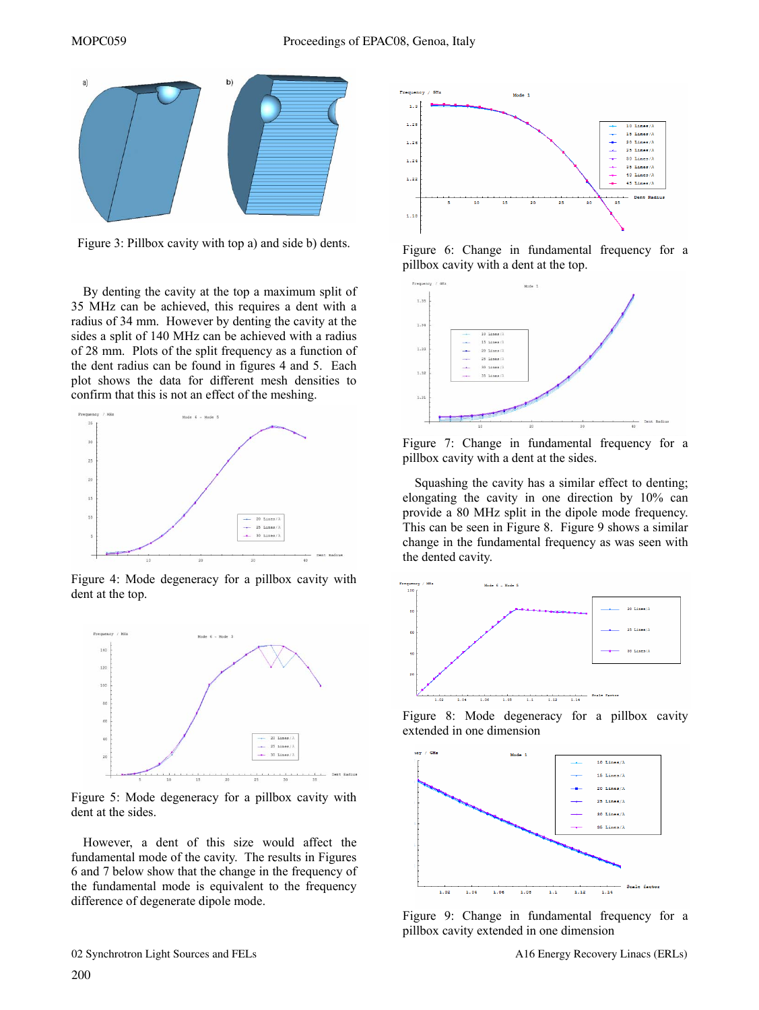

Figure 3: Pillbox cavity with top a) and side b) dents.

By denting the cavity at the top a maximum split of 35 MHz can be achieved, this requires a dent with a radius of 34 mm. However by denting the cavity at the sides a split of 140 MHz can be achieved with a radius of 28 mm. Plots of the split frequency as a function of the dent radius can be found in figures 4 and 5. Each plot shows the data for different mesh densities to confirm that this is not an effect of the meshing.



Figure 4: Mode degeneracy for a pillbox cavity with dent at the top.



Figure 5: Mode degeneracy for a pillbox cavity with dent at the sides.

However, a dent of this size would affect the fundamental mode of the cavity. The results in Figures 6 and 7 below show that the change in the frequency of the fundamental mode is equivalent to the frequency difference of degenerate dipole mode.



Figure 6: Change in fundamental frequency for a pillbox cavity with a dent at the top.



Figure 7: Change in fundamental frequency for a pillbox cavity with a dent at the sides.

Squashing the cavity has a similar effect to denting; elongating the cavity in one direction by 10% can provide a 80 MHz split in the dipole mode frequency. This can be seen in Figure 8. Figure 9 shows a similar change in the fundamental frequency as was seen with the dented cavity.



Figure 8: Mode degeneracy for a pillbox cavity extended in one dimension



Figure 9: Change in fundamental frequency for a pillbox cavity extended in one dimension